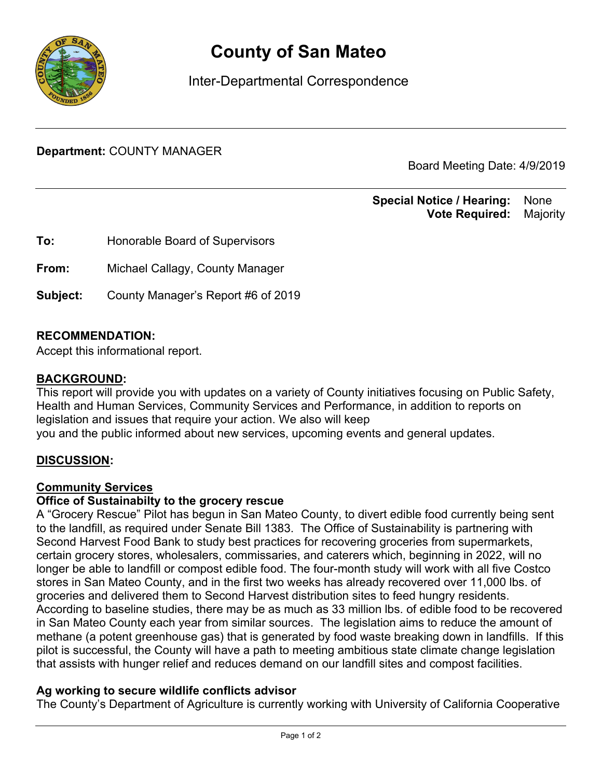

# **County of San Mateo**

Inter-Departmental Correspondence

**Department:** COUNTY MANAGER

Board Meeting Date: 4/9/2019

#### **Special Notice / Hearing:** None\_\_ **Vote Required:** Majority

**To:** Honorable Board of Supervisors **From:** Michael Callagy, County Manager **Subject:** County Manager's Report #6 of 2019

## **RECOMMENDATION:**

Accept this informational report.

#### BACKGROUND**:**

This report will provide you with updates on a variety of County initiatives focusing on Public Safety, Health and Human Services, Community Services and Performance, in addition to reports on legislation and issues that require your action. We also will keep you and the public informed about new services, upcoming events and general updates.

## DISCUSSION**:**

#### Community Services

#### **Office of Sustainabilty to the grocery rescue**

A "Grocery Rescue" Pilot has begun in San Mateo County, to divert edible food currently being sent to the landfill, as required under Senate Bill 1383. The Office of Sustainability is partnering with Second Harvest Food Bank to study best practices for recovering groceries from supermarkets, certain grocery stores, wholesalers, commissaries, and caterers which, beginning in 2022, will no longer be able to landfill or compost edible food. The four-month study will work with all five Costco stores in San Mateo County, and in the first two weeks has already recovered over 11,000 lbs. of groceries and delivered them to Second Harvest distribution sites to feed hungry residents. According to baseline studies, there may be as much as 33 million lbs. of edible food to be recovered in San Mateo County each year from similar sources. The legislation aims to reduce the amount of methane (a potent greenhouse gas) that is generated by food waste breaking down in landfills. If this pilot is successful, the County will have a path to meeting ambitious state climate change legislation that assists with hunger relief and reduces demand on our landfill sites and compost facilities.

## **Ag working to secure wildlife conflicts advisor**

The County's Department of Agriculture is currently working with University of California Cooperative